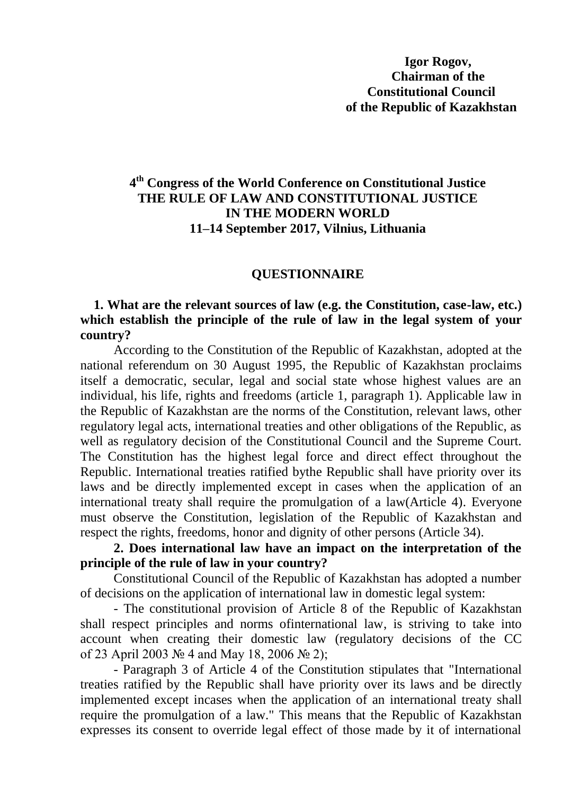# **4 th Congress of the World Conference on Constitutional Justice THE RULE OF LAW AND CONSTITUTIONAL JUSTICE IN THE MODERN WORLD 11–14 September 2017, Vilnius, Lithuania**

#### **QUESTIONNAIRE**

### **1. What are the relevant sources of law (e.g. the Constitution, case-law, etc.) which establish the principle of the rule of law in the legal system of your country?**

According to the Constitution of the Republic of Kazakhstan, adopted at the national referendum on 30 August 1995, the Republic of Kazakhstan proclaims itself a democratic, secular, legal and social state whose highest values are an individual, his life, rights and freedoms (article 1, paragraph 1). Applicable law in the Republic of Kazakhstan are the norms of the Constitution, relevant laws, other regulatory legal acts, international treaties and other obligations of the Republic, as well as regulatory decision of the Constitutional Council and the Supreme Court. The Constitution has the highest legal force and direct effect throughout the Republic. International treaties ratified bythe Republic shall have priority over its laws and be directly implemented except in cases when the application of an international treaty shall require the promulgation of a law(Article 4). Everyone must observe the Constitution, legislation of the Republic of Kazakhstan and respect the rights, freedoms, honor and dignity of other persons (Article 34).

## **2. Does international law have an impact on the interpretation of the principle of the rule of law in your country?**

Constitutional Council of the Republic of Kazakhstan has adopted a number of decisions on the application of international law in domestic legal system:

- The constitutional provision of Article 8 of the Republic of Kazakhstan shall respect principles and norms ofinternational law, is striving to take into account when creating their domestic law (regulatory decisions of the CC of 23 April 2003 № 4 and May 18, 2006 № 2);

- Paragraph 3 of Article 4 of the Constitution stipulates that "International treaties ratified by the Republic shall have priority over its laws and be directly implemented except incases when the application of an international treaty shall require the promulgation of a law." This means that the Republic of Kazakhstan expresses its consent to override legal effect of those made by it of international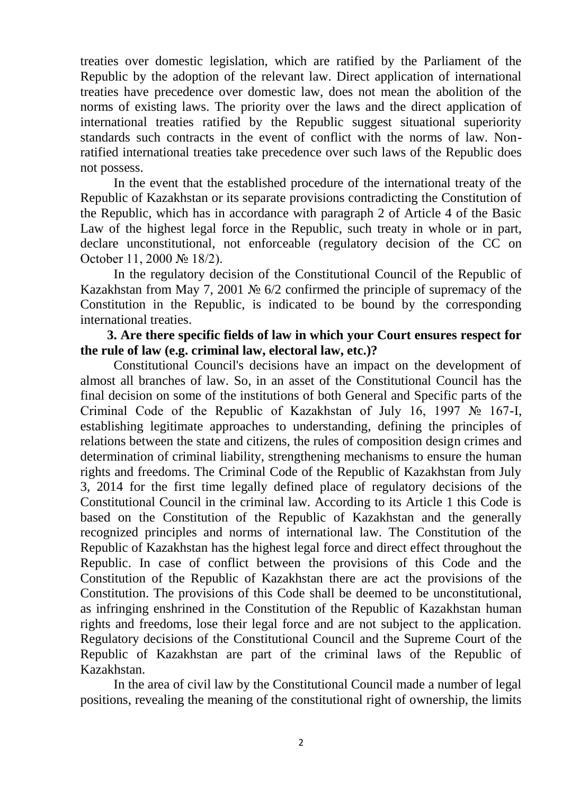treaties over domestic legislation, which are ratified by the Parliament of the Republic by the adoption of the relevant law. Direct application of international treaties have precedence over domestic law, does not mean the abolition of the norms of existing laws. The priority over the laws and the direct application of international treaties ratified by the Republic suggest situational superiority standards such contracts in the event of conflict with the norms of law. Nonratified international treaties take precedence over such laws of the Republic does not possess.

In the event that the established procedure of the international treaty of the Republic of Kazakhstan or its separate provisions contradicting the Constitution of the Republic, which has in accordance with paragraph 2 of Article 4 of the Basic Law of the highest legal force in the Republic, such treaty in whole or in part, declare unconstitutional, not enforceable (regulatory decision of the CC on October 11, 2000 № 18/2).

In the regulatory decision of the Constitutional Council of the Republic of Kazakhstan from May 7, 2001 № 6/2 confirmed the principle of supremacy of the Constitution in the Republic, is indicated to be bound by the corresponding international treaties.

### **3. Are there specific fields of law in which your Court ensures respect for the rule of law (e.g. criminal law, electoral law, etc.)?**

Constitutional Council's decisions have an impact on the development of almost all branches of law. So, in an asset of the Constitutional Council has the final decision on some of the institutions of both General and Specific parts of the Criminal Code of the Republic of Kazakhstan of July 16, 1997 № 167-I, establishing legitimate approaches to understanding, defining the principles of relations between the state and citizens, the rules of composition design crimes and determination of criminal liability, strengthening mechanisms to ensure the human rights and freedoms. The Criminal Code of the Republic of Kazakhstan from July 3, 2014 for the first time legally defined place of regulatory decisions of the Constitutional Council in the criminal law. According to its Article 1 this Code is based on the Constitution of the Republic of Kazakhstan and the generally recognized principles and norms of international law. The Constitution of the Republic of Kazakhstan has the highest legal force and direct effect throughout the Republic. In case of conflict between the provisions of this Code and the Constitution of the Republic of Kazakhstan there are act the provisions of the Constitution. The provisions of this Code shall be deemed to be unconstitutional, as infringing enshrined in the Constitution of the Republic of Kazakhstan human rights and freedoms, lose their legal force and are not subject to the application. Regulatory decisions of the Constitutional Council and the Supreme Court of the Republic of Kazakhstan are part of the criminal laws of the Republic of Kazakhstan.

In the area of civil law by the Constitutional Council made a number of legal positions, revealing the meaning of the constitutional right of ownership, the limits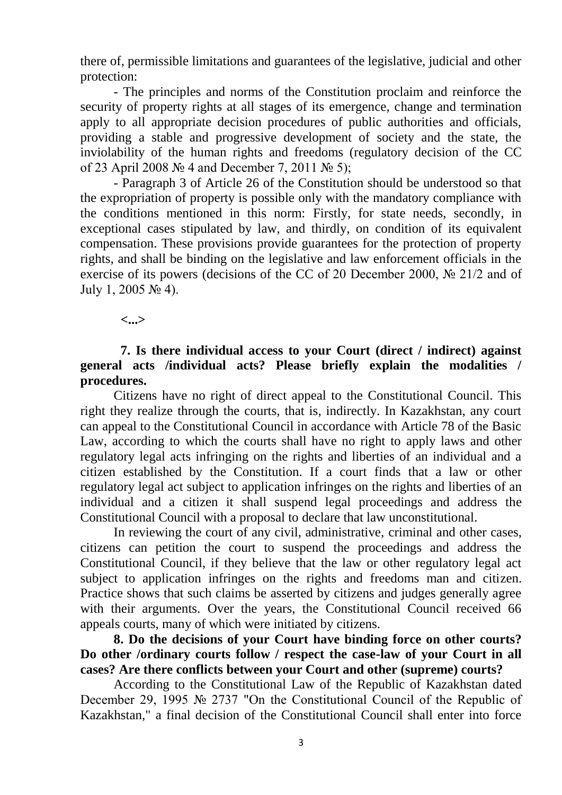there of, permissible limitations and guarantees of the legislative, judicial and other protection:

- The principles and norms of the Constitution proclaim and reinforce the security of property rights at all stages of its emergence, change and termination apply to all appropriate decision procedures of public authorities and officials, providing a stable and progressive development of society and the state, the inviolability of the human rights and freedoms (regulatory decision of the CC of 23 April 2008 № 4 and December 7, 2011 № 5);

- Paragraph 3 of Article 26 of the Constitution should be understood so that the expropriation of property is possible only with the mandatory compliance with the conditions mentioned in this norm: Firstly, for state needs, secondly, in exceptional cases stipulated by law, and thirdly, on condition of its equivalent compensation. These provisions provide guarantees for the protection of property rights, and shall be binding on the legislative and law enforcement officials in the exercise of its powers (decisions of the CC of 20 December 2000, № 21/2 and of July 1, 2005 № 4).

**<...>**

# **7. Is there individual access to your Court (direct / indirect) against general acts /individual acts? Please briefly explain the modalities / procedures.**

Citizens have no right of direct appeal to the Constitutional Council. This right they realize through the courts, that is, indirectly. In Kazakhstan, any court can appeal to the Constitutional Council in accordance with Article 78 of the Basic Law, according to which the courts shall have no right to apply laws and other regulatory legal acts infringing on the rights and liberties of an individual and a citizen established by the Constitution. If a court finds that a law or other regulatory legal act subject to application infringes on the rights and liberties of an individual and a citizen it shall suspend legal proceedings and address the Constitutional Council with a proposal to declare that law unconstitutional.

In reviewing the court of any civil, administrative, criminal and other cases, citizens can petition the court to suspend the proceedings and address the Constitutional Council, if they believe that the law or other regulatory legal act subject to application infringes on the rights and freedoms man and citizen. Practice shows that such claims be asserted by citizens and judges generally agree with their arguments. Over the years, the Constitutional Council received 66 appeals courts, many of which were initiated by citizens.

**8. Do the decisions of your Court have binding force on other courts? Do other /ordinary courts follow / respect the case-law of your Court in all cases? Are there conflicts between your Court and other (supreme) courts?**

According to the Constitutional Law of the Republic of Kazakhstan dated December 29, 1995 № 2737 "On the Constitutional Council of the Republic of Kazakhstan," a final decision of the Constitutional Council shall enter into force